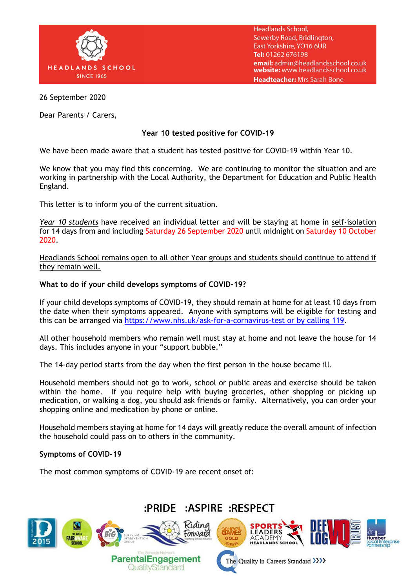

**Headlands School,** Sewerby Road, Bridlington, East Yorkshire, YO16 6UR Tel: 01262 676198 email: admin@headlandsschool.co.uk website: www.headlandsschool.co.uk Headteacher: Mrs Sarah Bone

26 September 2020

Dear Parents / Carers,

## **Year 10 tested positive for COVID-19**

We have been made aware that a student has tested positive for COVID-19 within Year 10.

We know that you may find this concerning. We are continuing to monitor the situation and are working in partnership with the Local Authority, the Department for Education and Public Health England.

This letter is to inform you of the current situation.

*Year 10 students* have received an individual letter and will be staying at home in self-isolation for 14 days from and including Saturday 26 September 2020 until midnight on Saturday 10 October 2020.

Headlands School remains open to all other Year groups and students should continue to attend if they remain well.

### **What to do if your child develops symptoms of COVID-19?**

If your child develops symptoms of COVID-19, they should remain at home for at least 10 days from the date when their symptoms appeared. Anyone with symptoms will be eligible for testing and this can be arranged via [https://www.nhs.uk/ask-for-a-cornavirus-test or by calling 119.](https://www.nhs.uk/ask-for-a-cornavirus-test%20or%20by%20calling%20119)

All other household members who remain well must stay at home and not leave the house for 14 days. This includes anyone in your "support bubble."

The 14-day period starts from the day when the first person in the house became ill.

Household members should not go to work, school or public areas and exercise should be taken within the home. If you require help with buying groceries, other shopping or picking up medication, or walking a dog, you should ask friends or family. Alternatively, you can order your shopping online and medication by phone or online.

Household members staying at home for 14 days will greatly reduce the overall amount of infection the household could pass on to others in the community.

### **Symptoms of COVID-19**

The most common symptoms of COVID-19 are recent onset of:

# :PRIDE :ASPIRE :RESPECT